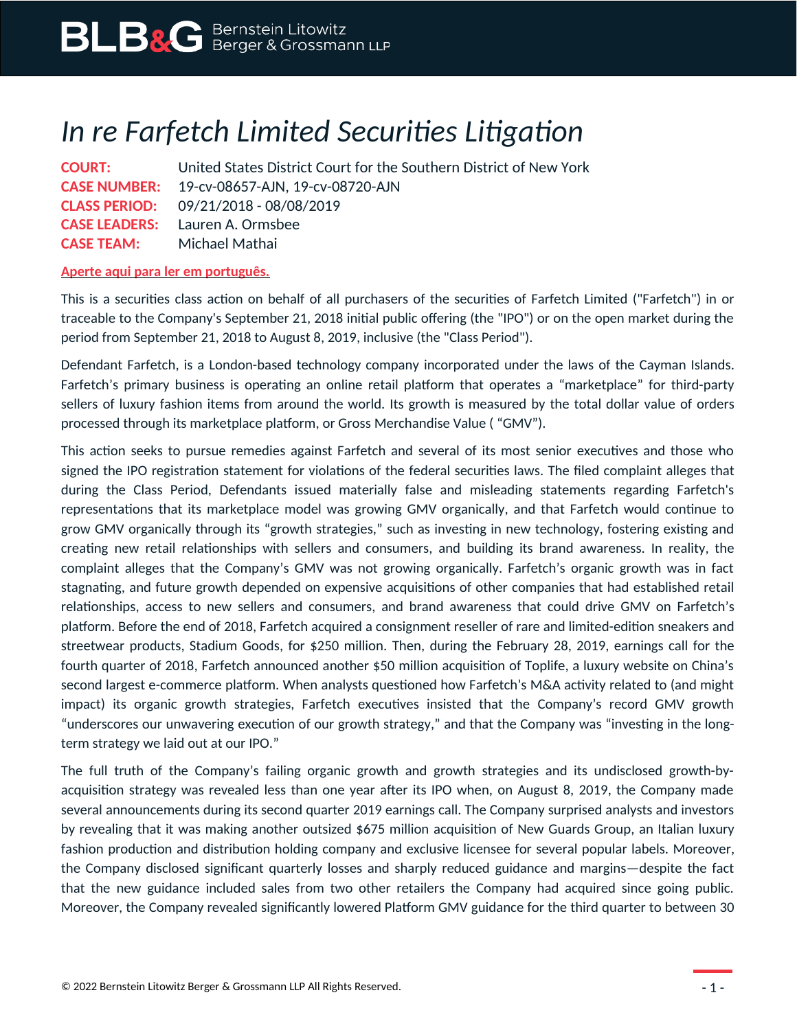## *In re Farfetch Limited Securities Litigation*

**COURT:** United States District Court for the Southern District of New York **CASE NUMBER:** 19-cv-08657-AJN, 19-cv-08720-AJN **CLASS PERIOD:** 09/21/2018 - 08/08/2019 **CASE LEADERS:** Lauren A. Ormsbee **CASE TEAM:** Michael Mathai

## **Aperte aqui para ler em português.**

This is a securities class action on behalf of all purchasers of the securities of Farfetch Limited ("Farfetch") in or traceable to the Company's September 21, 2018 initial public offering (the "IPO") or on the open market during the period from September 21, 2018 to August 8, 2019, inclusive (the "Class Period").

Defendant Farfetch, is a London-based technology company incorporated under the laws of the Cayman Islands. Farfetch's primary business is operating an online retail platform that operates a "marketplace" for third-party sellers of luxury fashion items from around the world. Its growth is measured by the total dollar value of orders processed through its marketplace platform, or Gross Merchandise Value ( "GMV").

This action seeks to pursue remedies against Farfetch and several of its most senior executives and those who signed the IPO registration statement for violations of the federal securities laws. The filed complaint alleges that during the Class Period, Defendants issued materially false and misleading statements regarding Farfetch's representations that its marketplace model was growing GMV organically, and that Farfetch would continue to grow GMV organically through its "growth strategies," such as investing in new technology, fostering existing and creating new retail relationships with sellers and consumers, and building its brand awareness. In reality, the complaint alleges that the Company's GMV was not growing organically. Farfetch's organic growth was in fact stagnating, and future growth depended on expensive acquisitions of other companies that had established retail relationships, access to new sellers and consumers, and brand awareness that could drive GMV on Farfetch's platform. Before the end of 2018, Farfetch acquired a consignment reseller of rare and limited-edition sneakers and streetwear products, Stadium Goods, for \$250 million. Then, during the February 28, 2019, earnings call for the fourth quarter of 2018, Farfetch announced another \$50 million acquisition of Toplife, a luxury website on China's second largest e-commerce platform. When analysts questioned how Farfetch's M&A activity related to (and might impact) its organic growth strategies, Farfetch executives insisted that the Company's record GMV growth "underscores our unwavering execution of our growth strategy," and that the Company was "investing in the longterm strategy we laid out at our IPO."

The full truth of the Company's failing organic growth and growth strategies and its undisclosed growth-byacquisition strategy was revealed less than one year after its IPO when, on August 8, 2019, the Company made several announcements during its second quarter 2019 earnings call. The Company surprised analysts and investors by revealing that it was making another outsized \$675 million acquisition of New Guards Group, an Italian luxury fashion production and distribution holding company and exclusive licensee for several popular labels. Moreover, the Company disclosed significant quarterly losses and sharply reduced guidance and margins—despite the fact that the new guidance included sales from two other retailers the Company had acquired since going public. Moreover, the Company revealed significantly lowered Platform GMV guidance for the third quarter to between 30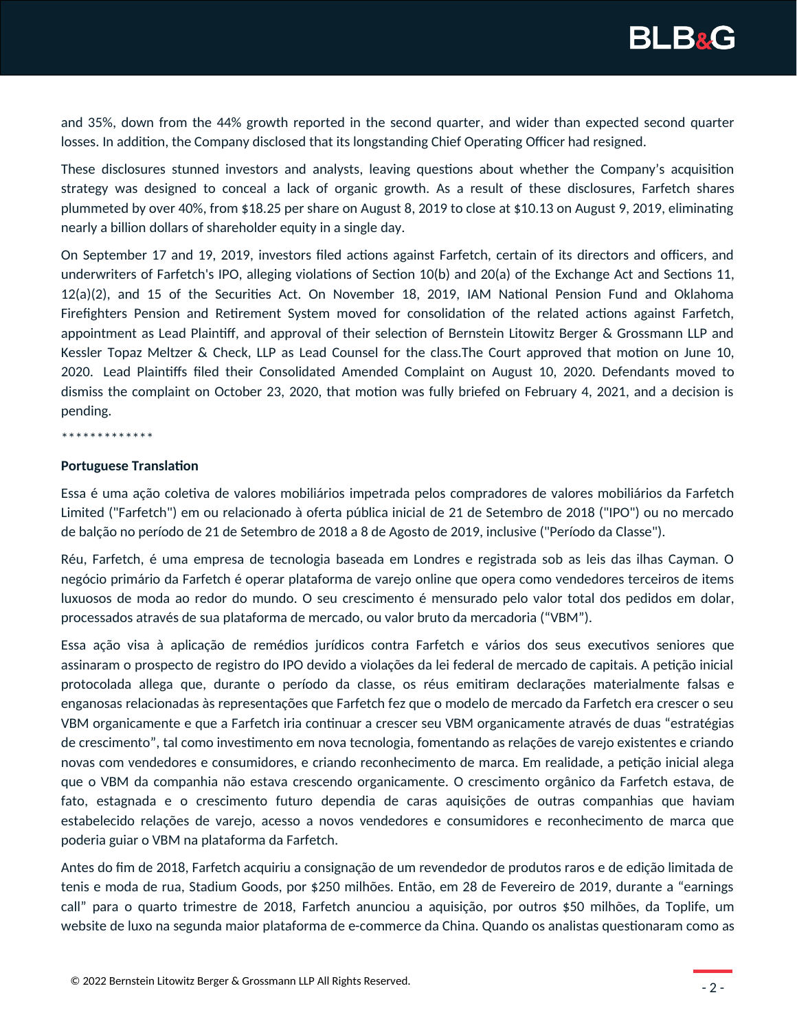

and 35%, down from the 44% growth reported in the second quarter, and wider than expected second quarter losses. In addition, the Company disclosed that its longstanding Chief Operating Officer had resigned.

These disclosures stunned investors and analysts, leaving questions about whether the Company's acquisition strategy was designed to conceal a lack of organic growth. As a result of these disclosures, Farfetch shares plummeted by over 40%, from \$18.25 per share on August 8, 2019 to close at \$10.13 on August 9, 2019, eliminating nearly a billion dollars of shareholder equity in a single day.

On September 17 and 19, 2019, investors filed actions against Farfetch, certain of its directors and officers, and underwriters of Farfetch's IPO, alleging violations of Section 10(b) and 20(a) of the Exchange Act and Sections 11, 12(a)(2), and 15 of the Securities Act. On November 18, 2019, IAM National Pension Fund and Oklahoma Firefighters Pension and Retirement System moved for consolidation of the related actions against Farfetch, appointment as Lead Plaintiff, and approval of their selection of Bernstein Litowitz Berger & Grossmann LLP and Kessler Topaz Meltzer & Check, LLP as Lead Counsel for the class.The Court approved that motion on June 10, 2020. Lead Plaintiffs filed their Consolidated Amended Complaint on August 10, 2020. Defendants moved to dismiss the complaint on October 23, 2020, that motion was fully briefed on February 4, 2021, and a decision is pending.

\*\*\*\*\*\*\*\*\*\*\*\*

## **Portuguese Translation**

Essa é uma ação coletiva de valores mobiliários impetrada pelos compradores de valores mobiliários da Farfetch Limited ("Farfetch") em ou relacionado à oferta pública inicial de 21 de Setembro de 2018 ("IPO") ou no mercado de balção no período de 21 de Setembro de 2018 a 8 de Agosto de 2019, inclusive ("Período da Classe").

Réu, Farfetch, é uma empresa de tecnologia baseada em Londres e registrada sob as leis das ilhas Cayman. O negócio primário da Farfetch é operar plataforma de varejo online que opera como vendedores terceiros de items luxuosos de moda ao redor do mundo. O seu crescimento é mensurado pelo valor total dos pedidos em dolar, processados através de sua plataforma de mercado, ou valor bruto da mercadoria ("VBM").

Essa ação visa à aplicação de remédios jurídicos contra Farfetch e vários dos seus executivos seniores que assinaram o prospecto de registro do IPO devido a violações da lei federal de mercado de capitais. A petição inicial protocolada allega que, durante o período da classe, os réus emitiram declarações materialmente falsas e enganosas relacionadas às representações que Farfetch fez que o modelo de mercado da Farfetch era crescer o seu VBM organicamente e que a Farfetch iria continuar a crescer seu VBM organicamente através de duas "estratégias de crescimento", tal como investimento em nova tecnologia, fomentando as relações de varejo existentes e criando novas com vendedores e consumidores, e criando reconhecimento de marca. Em realidade, a petição inicial alega que o VBM da companhia não estava crescendo organicamente. O crescimento orgânico da Farfetch estava, de fato, estagnada e o crescimento futuro dependia de caras aquisições de outras companhias que haviam estabelecido relações de varejo, acesso a novos vendedores e consumidores e reconhecimento de marca que poderia guiar o VBM na plataforma da Farfetch.

Antes do fim de 2018, Farfetch acquiriu a consignação de um revendedor de produtos raros e de edição limitada de tenis e moda de rua, Stadium Goods, por \$250 milhões. Então, em 28 de Fevereiro de 2019, durante a "earnings call" para o quarto trimestre de 2018, Farfetch anunciou a aquisição, por outros \$50 milhões, da Toplife, um website de luxo na segunda maior plataforma de e-commerce da China. Quando os analistas questionaram como as